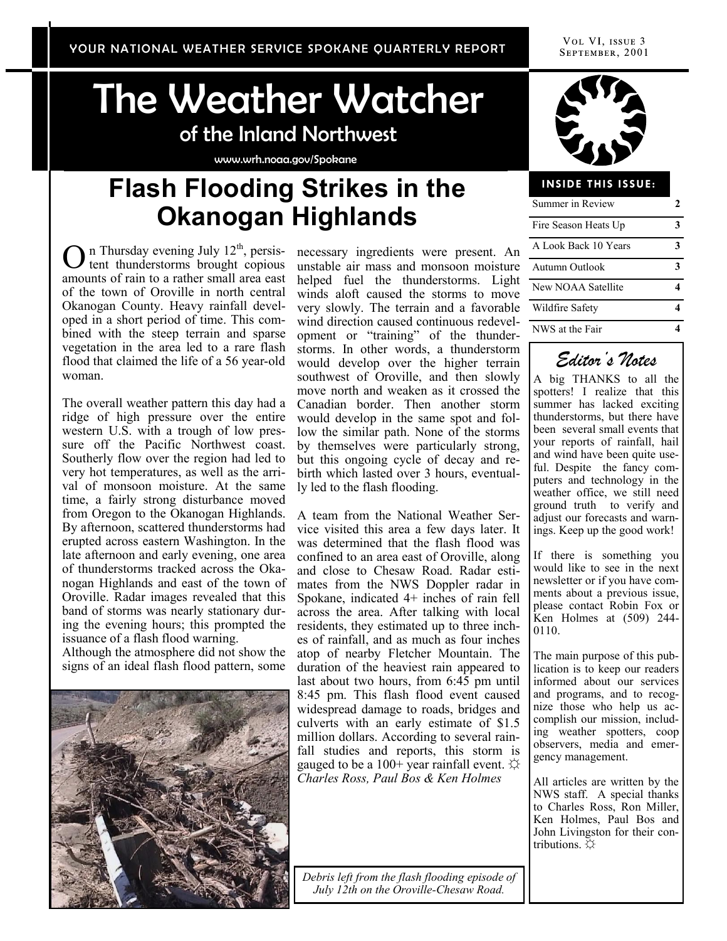VOL VI, ISSUE 3 SEPTEMBER, 2001

# The Weather Watcher of the Inland Northwest

www.wrh.noaa.gov/Spokane

# **Flash Flooding Strikes in the Okanogan Highlands**

O n Thursday evening July  $12<sup>th</sup>$ , persistent thunderstorms brought copious amounts of rain to a rather small area east of the town of Oroville in north central Okanogan County. Heavy rainfall developed in a short period of time. This combined with the steep terrain and sparse vegetation in the area led to a rare flash flood that claimed the life of a 56 year-old woman.

The overall weather pattern this day had a ridge of high pressure over the entire western U.S. with a trough of low pressure off the Pacific Northwest coast. Southerly flow over the region had led to very hot temperatures, as well as the arrival of monsoon moisture. At the same time, a fairly strong disturbance moved from Oregon to the Okanogan Highlands. By afternoon, scattered thunderstorms had erupted across eastern Washington. In the late afternoon and early evening, one area of thunderstorms tracked across the Okanogan Highlands and east of the town of Oroville. Radar images revealed that this band of storms was nearly stationary during the evening hours; this prompted the issuance of a flash flood warning.

Although the atmosphere did not show the signs of an ideal flash flood pattern, some



necessary ingredients were present. An unstable air mass and monsoon moisture helped fuel the thunderstorms. Light winds aloft caused the storms to move very slowly. The terrain and a favorable wind direction caused continuous redevelopment or "training" of the thunderstorms. In other words, a thunderstorm would develop over the higher terrain southwest of Oroville, and then slowly move north and weaken as it crossed the Canadian border. Then another storm would develop in the same spot and follow the similar path. None of the storms by themselves were particularly strong, but this ongoing cycle of decay and rebirth which lasted over 3 hours, eventually led to the flash flooding.

A team from the National Weather Service visited this area a few days later. It was determined that the flash flood was confined to an area east of Oroville, along and close to Chesaw Road. Radar estimates from the NWS Doppler radar in Spokane, indicated 4+ inches of rain fell across the area. After talking with local residents, they estimated up to three inches of rainfall, and as much as four inches atop of nearby Fletcher Mountain. The duration of the heaviest rain appeared to last about two hours, from 6:45 pm until 8:45 pm. This flash flood event caused widespread damage to roads, bridges and culverts with an early estimate of \$1.5 million dollars. According to several rainfall studies and reports, this storm is gauged to be a  $100+$  year rainfall event.  $\varphi$ *Charles Ross, Paul Bos & Ken Holmes*

*Debris left from the flash flooding episode of July 12th on the Oroville-Chesaw Road.*



#### **INSIDE THIS ISSUE:**

| Summer in Review     |  |
|----------------------|--|
| Fire Season Heats Up |  |
| A Look Back 10 Years |  |
| Autumn Outlook       |  |
| New NOAA Satellite   |  |
| Wildfire Safety      |  |
| NWS at the Fair      |  |



A big THANKS to all the spotters! I realize that this summer has lacked exciting thunderstorms, but there have been several small events that your reports of rainfall, hail and wind have been quite useful. Despite the fancy computers and technology in the weather office, we still need ground truth to verify and adjust our forecasts and warnings. Keep up the good work!

If there is something you would like to see in the next newsletter or if you have comments about a previous issue, please contact Robin Fox or Ken Holmes at (509) 244- 0110.

The main purpose of this publication is to keep our readers informed about our services and programs, and to recognize those who help us accomplish our mission, including weather spotters, coop observers, media and emergency management.

All articles are written by the NWS staff. A special thanks to Charles Ross, Ron Miller, Ken Holmes, Paul Bos and John Livingston for their contributions. ☼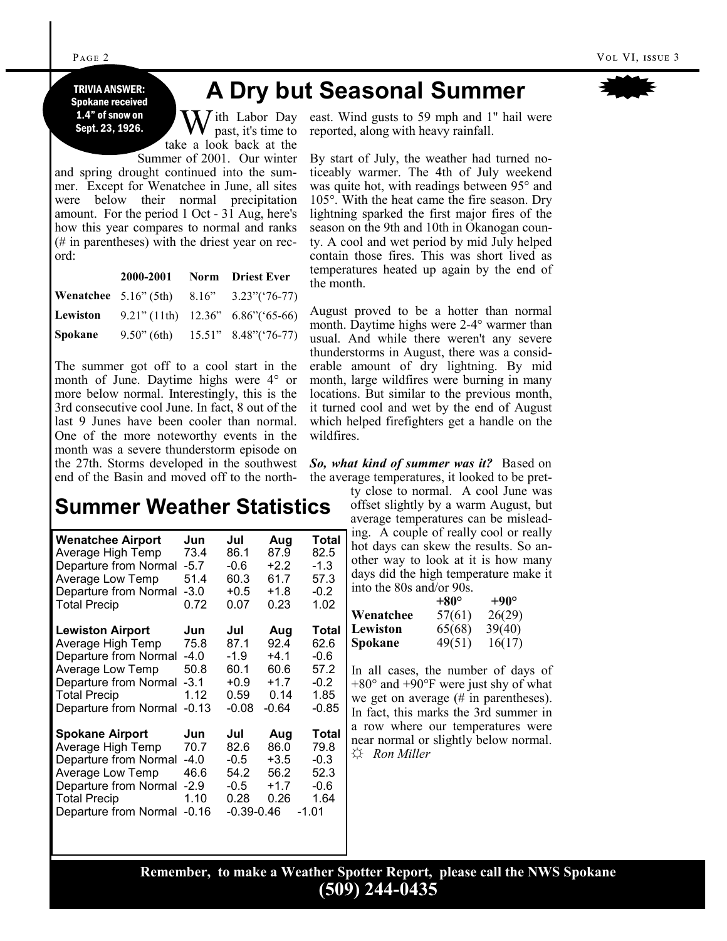Spokane received 1.4" of snow on Sept. 23, 1926.

## **A Dry but Seasonal Summer**

 $\int$ ith Labor Day past, it's time to take a look back at the Summer of 2001. Our winter

and spring drought continued into the summer. Except for Wenatchee in June, all sites were below their normal precipitation amount. For the period 1 Oct - 31 Aug, here's how this year compares to normal and ranks (# in parentheses) with the driest year on record:

|         |  | 2000-2001 Norm Driest Ever                        |
|---------|--|---------------------------------------------------|
|         |  | Wenatchee 5.16" (5th) 8.16" 3.23" ('76-77)        |
|         |  | <b>Lewiston</b> 9.21" (11th) 12.36" 6.86" (65-66) |
| Spokane |  | $9.50$ " (6th) $15.51$ " $8.48$ " ('76-77)        |

The summer got off to a cool start in the month of June. Daytime highs were 4° or more below normal. Interestingly, this is the 3rd consecutive cool June. In fact, 8 out of the last 9 Junes have been cooler than normal. One of the more noteworthy events in the month was a severe thunderstorm episode on the 27th. Storms developed in the southwest end of the Basin and moved off to the north-

# **Summer Weather Statistics Summer Weather Statistics**

| <b>Wenatchee Airport</b>                                                                                                                                          | Jun                                                        | Jul                                                           | Aug                                             | Total                                                      |
|-------------------------------------------------------------------------------------------------------------------------------------------------------------------|------------------------------------------------------------|---------------------------------------------------------------|-------------------------------------------------|------------------------------------------------------------|
| Average High Temp                                                                                                                                                 | 73.4                                                       | 86.1                                                          | 87.9                                            | 82.5                                                       |
| Departure from Normal                                                                                                                                             | $-5.7$                                                     | $-0.6$                                                        | $+2.2$                                          | $-1.3$                                                     |
| Average Low Temp                                                                                                                                                  | 51.4                                                       | 60.3                                                          | 61.7                                            | 57.3                                                       |
| Departure from Normal                                                                                                                                             | $-3.0$                                                     | $+0.5$                                                        | $+1.8$                                          | $-0.2$                                                     |
| <b>Total Precip</b>                                                                                                                                               | 0.72                                                       | 0.07                                                          | 0.23                                            | 1.02                                                       |
| <b>Lewiston Airport</b>                                                                                                                                           | Jun                                                        | Jul                                                           | Aug                                             | Total                                                      |
| Average High Temp                                                                                                                                                 | 75.8                                                       | 87.1                                                          | 92.4                                            | 62.6                                                       |
| Departure from Normal                                                                                                                                             | $-4.0$                                                     | $-1.9$                                                        | $+4.1$                                          | -0.6                                                       |
| Average Low Temp                                                                                                                                                  | 50.8                                                       | 60.1                                                          | 60.6                                            | 57.2                                                       |
| Departure from Normal                                                                                                                                             | $-3.1$                                                     | $+0.9$                                                        | $+1.7$                                          | $-0.2$                                                     |
| <b>Total Precip</b>                                                                                                                                               | 1.12                                                       | 0.59                                                          | 0.14                                            | 1.85                                                       |
| Departure from Normal                                                                                                                                             | $-0.13$                                                    | $-0.08$                                                       | $-0.64$                                         | $-0.85$                                                    |
| <b>Spokane Airport</b><br>Average High Temp<br>Departure from Normal<br>Average Low Temp<br>Departure from Normal<br><b>Total Precip</b><br>Departure from Normal | Jun<br>70.7<br>$-4.0$<br>46.6<br>$-2.9$<br>1.10<br>$-0.16$ | Jul<br>82.6<br>$-0.5$<br>54.2<br>$-0.5$<br>0.28<br>-0.39-0.46 | Aug<br>86.0<br>$+3.5$<br>56.2<br>$+1.7$<br>0.26 | Total<br>79.8<br>$-0.3$<br>52.3<br>$-0.6$<br>1.64<br>-1.01 |

east. Wind gusts to 59 mph and 1" hail were reported, along with heavy rainfall.

By start of July, the weather had turned noticeably warmer. The 4th of July weekend was quite hot, with readings between 95° and 105°. With the heat came the fire season. Dry lightning sparked the first major fires of the season on the 9th and 10th in Okanogan county. A cool and wet period by mid July helped contain those fires. This was short lived as temperatures heated up again by the end of the month.

August proved to be a hotter than normal month. Daytime highs were 2-4° warmer than usual. And while there weren't any severe thunderstorms in August, there was a considerable amount of dry lightning. By mid month, large wildfires were burning in many locations. But similar to the previous month, it turned cool and wet by the end of August which helped firefighters get a handle on the wildfires.

*So, what kind of summer was it?* Based on the average temperatures, it looked to be pret-

ty close to normal. A cool June was offset slightly by a warm August, but average temperatures can be misleading. A couple of really cool or really hot days can skew the results. So another way to look at it is how many days did the high temperature make it into the 80s and/or 90s.

|                | $+80^\circ$ | $+90^\circ$ |
|----------------|-------------|-------------|
| Wenatchee      | 57(61)      | 26(29)      |
| Lewiston       | 65(68)      | 39(40)      |
| <b>Spokane</b> | 49(51)      | 16(17)      |

In all cases, the number of days of  $+80^{\circ}$  and  $+90^{\circ}$ F were just shy of what we get on average (# in parentheses). In fact, this marks the 3rd summer in a row where our temperatures were near normal or slightly below normal. ☼ *Ron Miller*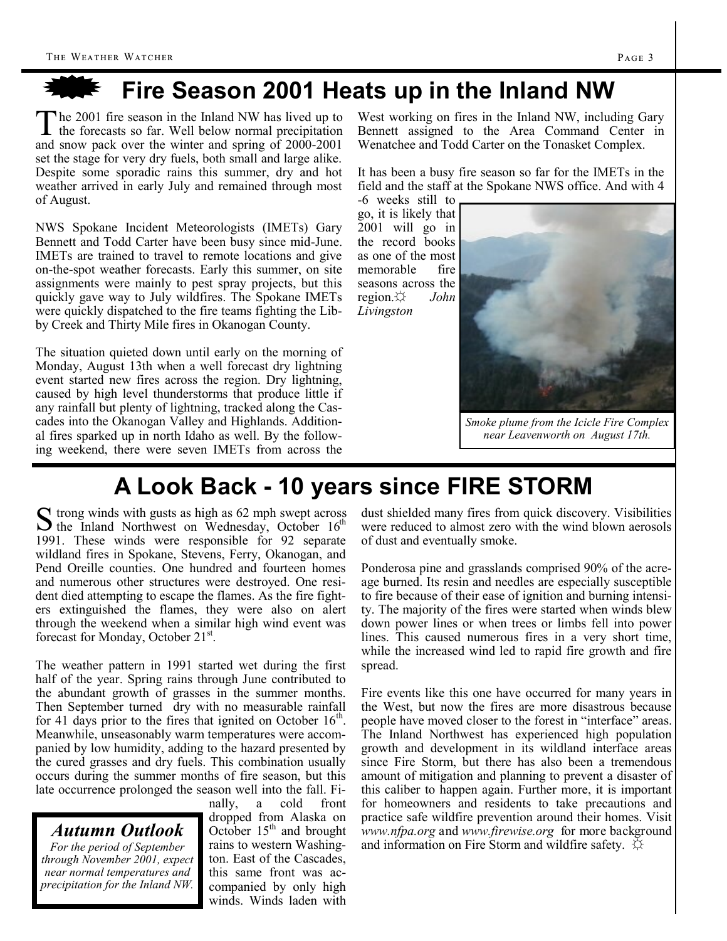## **Fire Season 2001 Heats up in the Inland NW**

The 2001 fire season in the Inland NW has lived up to the forecasts so far. Well below normal precipitation he 2001 fire season in the Inland NW has lived up to and snow pack over the winter and spring of 2000-2001 set the stage for very dry fuels, both small and large alike. Despite some sporadic rains this summer, dry and hot weather arrived in early July and remained through most of August.

NWS Spokane Incident Meteorologists (IMETs) Gary Bennett and Todd Carter have been busy since mid-June. IMETs are trained to travel to remote locations and give on-the-spot weather forecasts. Early this summer, on site assignments were mainly to pest spray projects, but this quickly gave way to July wildfires. The Spokane IMETs were quickly dispatched to the fire teams fighting the Libby Creek and Thirty Mile fires in Okanogan County.

The situation quieted down until early on the morning of Monday, August 13th when a well forecast dry lightning event started new fires across the region. Dry lightning, caused by high level thunderstorms that produce little if any rainfall but plenty of lightning, tracked along the Cascades into the Okanogan Valley and Highlands. Additional fires sparked up in north Idaho as well. By the following weekend, there were seven IMETs from across the West working on fires in the Inland NW, including Gary Bennett assigned to the Area Command Center in Wenatchee and Todd Carter on the Tonasket Complex.

It has been a busy fire season so far for the IMETs in the field and the staff at the Spokane NWS office. And with 4

-6 weeks still to go, it is likely that 2001 will go in the record books as one of the most memorable fire seasons across the region.☼ *John Livingston*



*Smoke plume from the Icicle Fire Complex near Leavenworth on August 17th.*

## **A Look Back - 10 years since FIRE STORM**

 $S$  trong winds with gusts as high as 62 mph swept across<br>the Inland Northwest on Wednesday, October  $16<sup>th</sup>$  $\Gamma$  trong winds with gusts as high as 62 mph swept across 1991. These winds were responsible for 92 separate wildland fires in Spokane, Stevens, Ferry, Okanogan, and Pend Oreille counties. One hundred and fourteen homes and numerous other structures were destroyed. One resident died attempting to escape the flames. As the fire fighters extinguished the flames, they were also on alert through the weekend when a similar high wind event was forecast for Monday, October 21<sup>st</sup>.

The weather pattern in 1991 started wet during the first half of the year. Spring rains through June contributed to the abundant growth of grasses in the summer months. Then September turned dry with no measurable rainfall for 41 days prior to the fires that ignited on October  $16<sup>th</sup>$ . Meanwhile, unseasonably warm temperatures were accompanied by low humidity, adding to the hazard presented by the cured grasses and dry fuels. This combination usually occurs during the summer months of fire season, but this late occurrence prolonged the season well into the fall. Fi-

#### *Autumn Outlook Autumn Outlook*

*For the period of September For the period of September through November 2001, expect* **t** *normal temperatures and near normal temperatures and precipitation for the Inland NW. precipitation for the Inland NW.* 

nally, a cold front dropped from Alaska on October 15<sup>th</sup> and brought rains to western Washington. East of the Cascades, this same front was accompanied by only high winds. Winds laden with

dust shielded many fires from quick discovery. Visibilities were reduced to almost zero with the wind blown aerosols of dust and eventually smoke.

Ponderosa pine and grasslands comprised 90% of the acreage burned. Its resin and needles are especially susceptible to fire because of their ease of ignition and burning intensity. The majority of the fires were started when winds blew down power lines or when trees or limbs fell into power lines. This caused numerous fires in a very short time, while the increased wind led to rapid fire growth and fire spread.

Fire events like this one have occurred for many years in the West, but now the fires are more disastrous because people have moved closer to the forest in "interface" areas. The Inland Northwest has experienced high population growth and development in its wildland interface areas since Fire Storm, but there has also been a tremendous amount of mitigation and planning to prevent a disaster of this caliber to happen again. Further more, it is important for homeowners and residents to take precautions and practice safe wildfire prevention around their homes. Visit *www.nfpa.org* and *www.firewise.org* for more background and information on Fire Storm and wildfire safety.  $\forall$